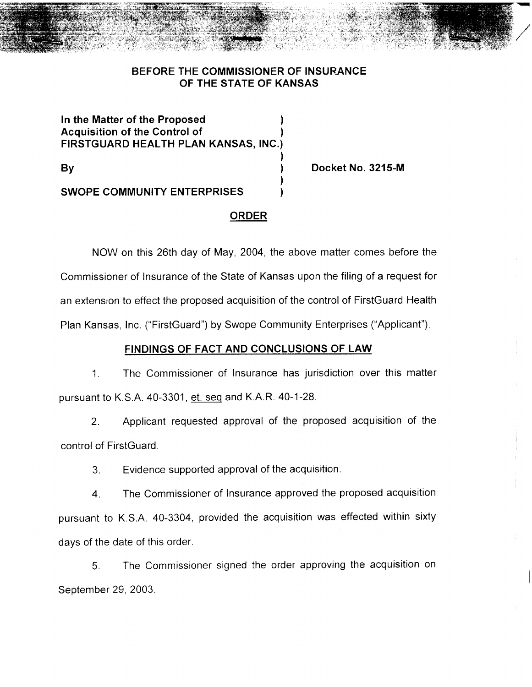## **BEFORE THE COMMISSIONER OF INSURANCE OF THE STATE OF KANSAS**

**In the Matter of the Proposed Acquisition of the Control of ) FIRSTGUARD HEALTH PLAN KANSAS, INC.)**

**By )**

**Docket No. 3215-M**

**SWOPE COMMUNITY ENTERPRISES )**

#### **ORDER**

)

)

NOW on this 26th day of May, 2004, the above matter comes before the Commissioner of Insurance of the State of Kansas upon the filing of a request for an extension to effect the proposed acquisition of the control of FirstGuard Health Plan Kansas, Inc. ("FirstGuard") by Swope Community Enterprises ("Applicant").

## **FINDINGS OF FACT AND CONCLUSIONS OF LAW**

1. The Commissioner of Insurance has jurisdiction over this matter pursuant to K.S.A. 40-3301, et. seq and K.A.R. 40-1-28.

2. Applicant requested approval of the proposed acquisition of the control of FirstGuard.

3. Evidence supported approval of the acquisition.

4. The Commissioner of Insurance approved the proposed acquisition pursuant to K.S.A. 40-3304, provided the acquisition was effected within sixty days of the date of this order.

5. The Commissioner signed the order approving the acquisition on September 29, 2003.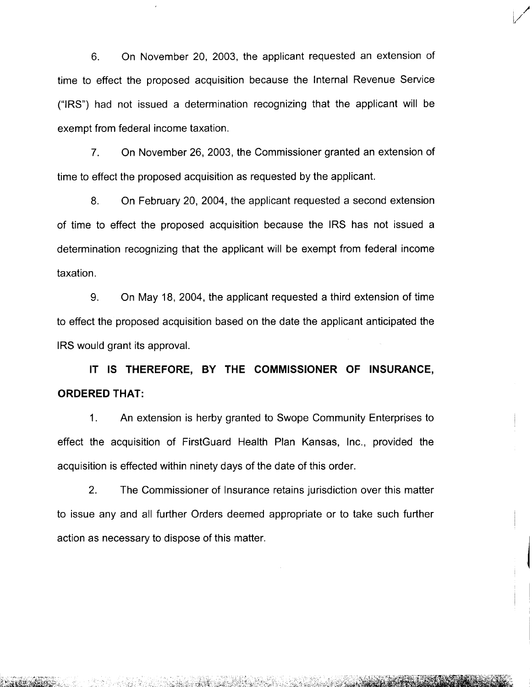6. On November 20, 2003, the applicant requested an extension of time to effect the proposed acquisition because the Internal Revenue Service ("IRS") had not issued a determination recognizing that the applicant will be exempt from federal income taxation.

7. On November 26,2003, the Commissioner granted an extension of time to effect the proposed acquisition as requested by the applicant.

8. On February 20, 2004, the applicant requested a second extension of time to effect the proposed acquisition because the IRS has not issued a determination recognizing that the applicant will be exempt from federal income taxation.

9. On May 18, 2004, the applicant requested a third extension of time to effect the proposed acquisition based on the date the applicant anticipated the IRS would grant its approval.

**IT IS THEREFORE, BY THE COMMISSIONER OF INSURANCE, ORDERED THAT:**

1. An extension is herby granted to Swope Community Enterprises to effect the acquisition of FirstGuard Health Plan Kansas, Inc., provided the acquisition is effected within ninety days of the date of this order.

2. The Commissioner of Insurance retains jurisdiction over this matter to issue any and all further Orders deemed appropriate or to take such further action as necessary to dispose of this matter.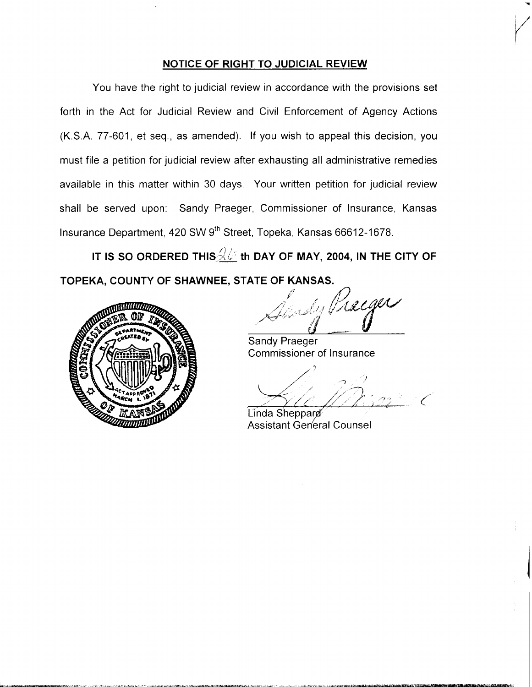#### **NOTICE OF RIGHT TO JUDICIAL REVIEW**

You have the right to judicial review in accordance with the provisions set forth in the Act for Judicial Review and Civil Enforcement of Agency Actions (K.S.A. 77-601, et seq., as amended). If you wish to appeal this decision, you must file a petition for judicial review after exhausting all administrative remedies available in this matter within 30 days. Your written petition for judicial review shall be served upon: Sandy Praeger, Commissioner of Insurance, Kansas Insurance Department, 420 SW 9<sup>th</sup> Street, Topeka, Kansas 66612-1678.

**IT** IS SO ORDERED THIS  $\frac{2}{\sqrt{6}}$  th DAY OF MAY, 2004, IN THE CITY OF TOPEKA. COUNTY OF SHAWNEE, STATE OF KANSAS.



Sy Praiger

Sandy Praeger Commissioner of Insurance

/;'  $\mathcal{A}/\mathcal{D}$  in (

Linda Sheppard **Assistant General Counsel**